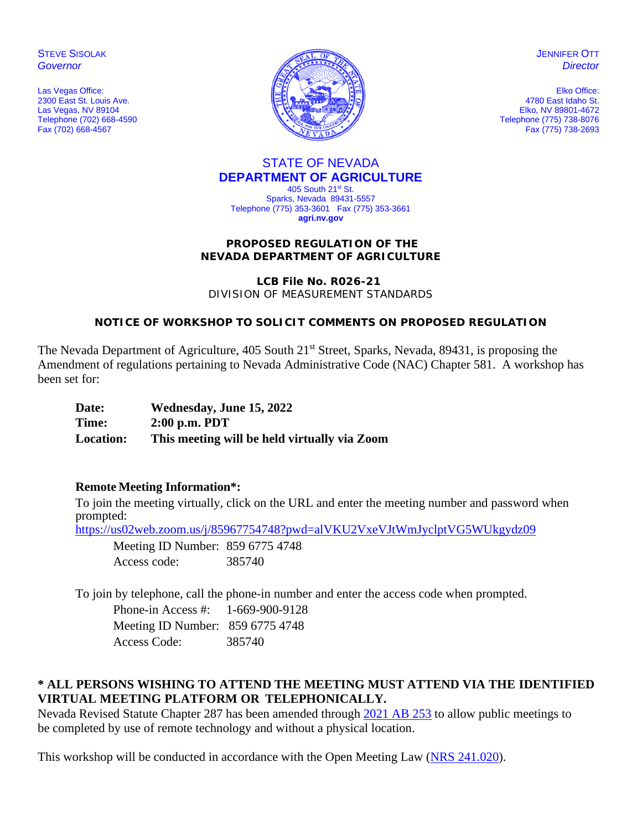**STEVE SISOLAK** *Governor*

Las Vegas Office: 2300 East St. Louis Ave. Las Vegas, NV 89104 Telephone (702) 668-4590 Fax (702) 668-4567



**JENNIFER OTT** *Director*

Elko Office: 4780 East Idaho St. Elko, NV 89801-4672 Telephone (775) 738-8076 Fax (775) 738-2693

# STATE OF NEVADA **DEPARTMENT OF AGRICULTURE**

405 South 21st St. Sparks, Nevada 89431-5557 Telephone (775) 353-3601 Fax (775) 353-3661 **agri.nv.gov**

#### **PROPOSED REGULATION OF THE NEVADA DEPARTMENT OF AGRICULTURE**

**LCB File No. R026-21**

DIVISION OF MEASUREMENT STANDARDS

## **NOTICE OF WORKSHOP TO SOLICIT COMMENTS ON PROPOSED REGULATION**

The Nevada Department of Agriculture, 405 South 21<sup>st</sup> Street, Sparks, Nevada, 89431, is proposing the Amendment of regulations pertaining to Nevada Administrative Code (NAC) Chapter 581. A workshop has been set for:

| Date:            | Wednesday, June 15, 2022                     |
|------------------|----------------------------------------------|
| Time:            | $2:00$ p.m. PDT                              |
| <b>Location:</b> | This meeting will be held virtually via Zoom |

### **Remote Meeting Information\*:**

To join the meeting virtually, click on the URL and enter the meeting number and password when prompted:

https://us02web.zoom.us/j/85967754748?pwd=alVKU2VxeVJtWmJyclptVG5WUkgydz09

Meeting ID Number: 859 6775 4748 Access code: 385740

To join by telephone, call the phone-in number and enter the access code when prompted.

Phone-in Access #: 1-669-900-9128 Meeting ID Number: 859 6775 4748 Access Code: 385740

# **\* ALL PERSONS WISHING TO ATTEND THE MEETING MUST ATTEND VIA THE IDENTIFIED VIRTUAL MEETING PLATFORM OR TELEPHONICALLY.**

Nevada Revised Statute Chapter 287 has been amended through 2021 AB 253 to allow public meetings to be completed by use of remote technology and without a physical location.

This workshop will be conducted in accordance with the Open Meeting Law (NRS 241.020).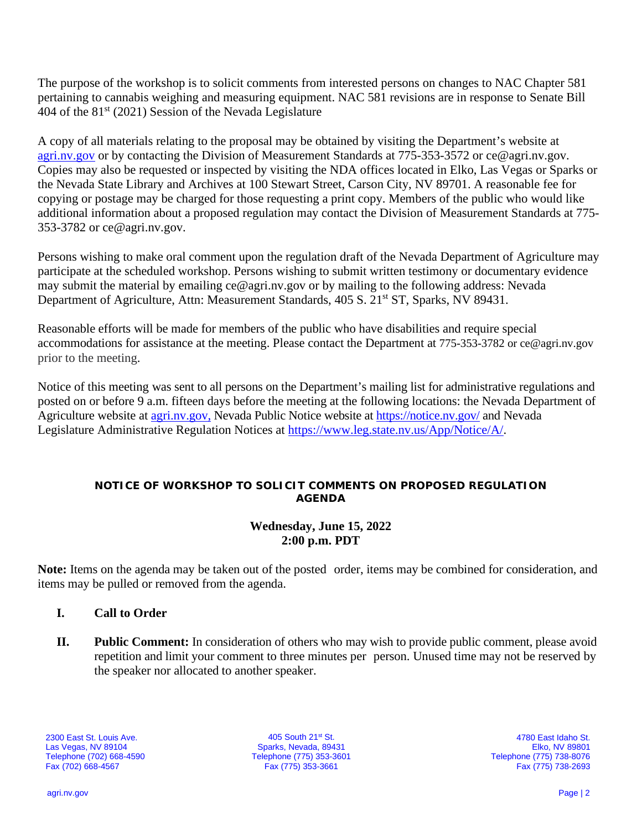The purpose of the workshop is to solicit comments from interested persons on changes to NAC Chapter 581 pertaining to cannabis weighing and measuring equipment. NAC 581 revisions are in response to Senate Bill 404 of the  $81<sup>st</sup>$  (2021) Session of the Nevada Legislature

A copy of all materials relating to the proposal may be obtained by visiting the Department's website at [agri.nv.gov](http://agri.nv.gov/Animals/Animal_Industries_Hearings,_Workshops,_Meetings/) or by contacting the Division of Measurement Standards at 775-353-3572 or ce@agri.nv.gov. Copies may also be requested or inspected by visiting the NDA offices located in Elko, Las Vegas or Sparks or the Nevada State Library and Archives at 100 Stewart Street, Carson City, NV 89701. A reasonable fee for copying or postage may be charged for those requesting a print copy. Members of the public who would like additional information about a proposed regulation may contact the Division of Measurement Standards at 775- 353-3782 or ce@agri.nv.gov.

Persons wishing to make oral comment upon the regulation draft of the Nevada Department of Agriculture may participate at the scheduled workshop. Persons wishing to submit written testimony or documentary evidence may submit the material by emailing ce@agri.nv.gov or by mailing to the following address: Nevada Department of Agriculture, Attn: Measurement Standards, 405 S. 21<sup>st</sup> ST, Sparks, NV 89431.

Reasonable efforts will be made for members of the public who have disabilities and require special accommodations for assistance at the meeting. Please contact the Department at 775-353-3782 or ce@agri.nv.gov prior to the meeting.

Notice of this meeting was sent to all persons on the Department's mailing list for administrative regulations and posted on or before 9 a.m. fifteen days before the meeting at the following locations: the Nevada Department of Agriculture website at [agri.nv.gov,](http://agri.nv.gov/Animals/Animal_Industries_Hearings,_Workshops,_Meetings/) Nevada Public Notice website at<https://notice.nv.gov/> and Nevada Legislature Administrative Regulation Notices at [https://www.leg.state.nv.us/App/Notice/A/.](https://www.leg.state.nv.us/App/Notice/A/)

### **NOTICE OF WORKSHOP TO SOLICIT COMMENTS ON PROPOSED REGULATION AGENDA**

## **Wednesday, June 15, 2022 2:00 p.m. PDT**

**Note:** Items on the agenda may be taken out of the posted order, items may be combined for consideration, and items may be pulled or removed from the agenda.

- **I. Call to Order**
- **II. Public Comment:** In consideration of others who may wish to provide public comment, please avoid repetition and limit your comment to three minutes per person. Unused time may not be reserved by the speaker nor allocated to another speaker.

2300 East St. Louis Ave. Las Vegas, NV 89104 Telephone (702) 668-4590 Fax (702) 668-4567

405 South 21st St. Sparks, Nevada, 89431 Telephone (775) 353-3601 Fax (775) 353-3661

4780 East Idaho St. Elko, NV 89801 Telephone (775) 738-8076 Fax (775) 738-2693